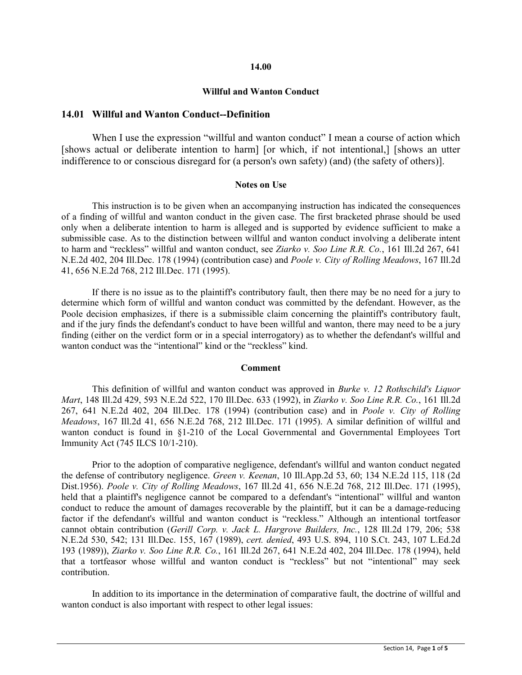#### **14.00**

#### **Willful and Wanton Conduct**

### **14.01 Willful and Wanton Conduct--Definition**

When I use the expression "willful and wanton conduct" I mean a course of action which [shows actual or deliberate intention to harm] [or which, if not intentional,] [shows an utter indifference to or conscious disregard for (a person's own safety) (and) (the safety of others)].

#### **Notes on Use**

This instruction is to be given when an accompanying instruction has indicated the consequences of a finding of willful and wanton conduct in the given case. The first bracketed phrase should be used only when a deliberate intention to harm is alleged and is supported by evidence sufficient to make a submissible case. As to the distinction between willful and wanton conduct involving a deliberate intent to harm and "reckless" willful and wanton conduct, see *Ziarko v. Soo Line R.R. Co.*, 161 Ill.2d 267, 641 N.E.2d 402, 204 Ill.Dec. 178 (1994) (contribution case) and *Poole v. City of Rolling Meadows*, 167 Ill.2d 41, 656 N.E.2d 768, 212 Ill.Dec. 171 (1995).

If there is no issue as to the plaintiff's contributory fault, then there may be no need for a jury to determine which form of willful and wanton conduct was committed by the defendant. However, as the Poole decision emphasizes, if there is a submissible claim concerning the plaintiff's contributory fault, and if the jury finds the defendant's conduct to have been willful and wanton, there may need to be a jury finding (either on the verdict form or in a special interrogatory) as to whether the defendant's willful and wanton conduct was the "intentional" kind or the "reckless" kind.

#### **Comment**

This definition of willful and wanton conduct was approved in *Burke v. 12 Rothschild's Liquor Mart*, 148 Ill.2d 429, 593 N.E.2d 522, 170 Ill.Dec. 633 (1992), in *Ziarko v. Soo Line R.R. Co.*, 161 Ill.2d 267, 641 N.E.2d 402, 204 Ill.Dec. 178 (1994) (contribution case) and in *Poole v. City of Rolling Meadows*, 167 Ill.2d 41, 656 N.E.2d 768, 212 Ill.Dec. 171 (1995). A similar definition of willful and wanton conduct is found in §1-210 of the Local Governmental and Governmental Employees Tort Immunity Act (745 ILCS 10/1-210).

Prior to the adoption of comparative negligence, defendant's willful and wanton conduct negated the defense of contributory negligence. *Green v. Keenan*, 10 Ill.App.2d 53, 60; 134 N.E.2d 115, 118 (2d Dist.1956). *Poole v. City of Rolling Meadows*, 167 Ill.2d 41, 656 N.E.2d 768, 212 Ill.Dec. 171 (1995), held that a plaintiff's negligence cannot be compared to a defendant's "intentional" willful and wanton conduct to reduce the amount of damages recoverable by the plaintiff, but it can be a damage-reducing factor if the defendant's willful and wanton conduct is "reckless." Although an intentional tortfeasor cannot obtain contribution (*Gerill Corp. v. Jack L. Hargrove Builders, Inc.*, 128 Ill.2d 179, 206; 538 N.E.2d 530, 542; 131 Ill.Dec. 155, 167 (1989), *cert. denied*, 493 U.S. 894, 110 S.Ct. 243, 107 L.Ed.2d 193 (1989)), *Ziarko v. Soo Line R.R. Co.*, 161 Ill.2d 267, 641 N.E.2d 402, 204 Ill.Dec. 178 (1994), held that a tortfeasor whose willful and wanton conduct is "reckless" but not "intentional" may seek contribution.

In addition to its importance in the determination of comparative fault, the doctrine of willful and wanton conduct is also important with respect to other legal issues: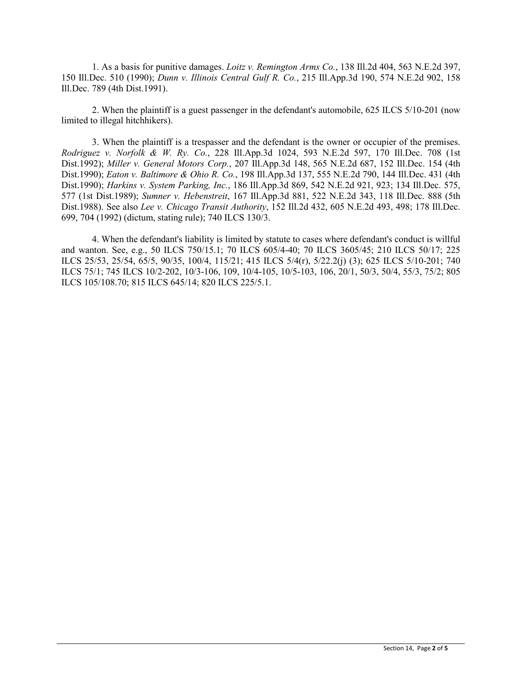1. As a basis for punitive damages. *Loitz v. Remington Arms Co.*, 138 Ill.2d 404, 563 N.E.2d 397, 150 Ill.Dec. 510 (1990); *Dunn v. Illinois Central Gulf R. Co.*, 215 Ill.App.3d 190, 574 N.E.2d 902, 158 Ill.Dec. 789 (4th Dist.1991).

2. When the plaintiff is a guest passenger in the defendant's automobile, 625 ILCS 5/10-201 (now limited to illegal hitchhikers).

3. When the plaintiff is a trespasser and the defendant is the owner or occupier of the premises. *Rodriguez v. Norfolk & W. Ry. Co.*, 228 Ill.App.3d 1024, 593 N.E.2d 597, 170 Ill.Dec. 708 (1st Dist.1992); *Miller v. General Motors Corp.*, 207 Ill.App.3d 148, 565 N.E.2d 687, 152 Ill.Dec. 154 (4th Dist.1990); *Eaton v. Baltimore & Ohio R. Co.*, 198 Ill.App.3d 137, 555 N.E.2d 790, 144 Ill.Dec. 431 (4th Dist.1990); *Harkins v. System Parking, Inc.*, 186 Ill.App.3d 869, 542 N.E.2d 921, 923; 134 Ill.Dec. 575, 577 (1st Dist.1989); *Sumner v. Hebenstreit*, 167 Ill.App.3d 881, 522 N.E.2d 343, 118 Ill.Dec. 888 (5th Dist.1988). See also *Lee v. Chicago Transit Authority*, 152 Ill.2d 432, 605 N.E.2d 493, 498; 178 Ill.Dec. 699, 704 (1992) (dictum, stating rule); 740 ILCS 130/3.

4. When the defendant's liability is limited by statute to cases where defendant's conduct is willful and wanton. See, e.g., 50 ILCS 750/15.1; 70 ILCS 605/4-40; 70 ILCS 3605/45; 210 ILCS 50/17; 225 ILCS 25/53, 25/54, 65/5, 90/35, 100/4, 115/21; 415 ILCS 5/4(r), 5/22.2(j) (3); 625 ILCS 5/10-201; 740 ILCS 75/1; 745 ILCS 10/2-202, 10/3-106, 109, 10/4-105, 10/5-103, 106, 20/1, 50/3, 50/4, 55/3, 75/2; 805 ILCS 105/108.70; 815 ILCS 645/14; 820 ILCS 225/5.1.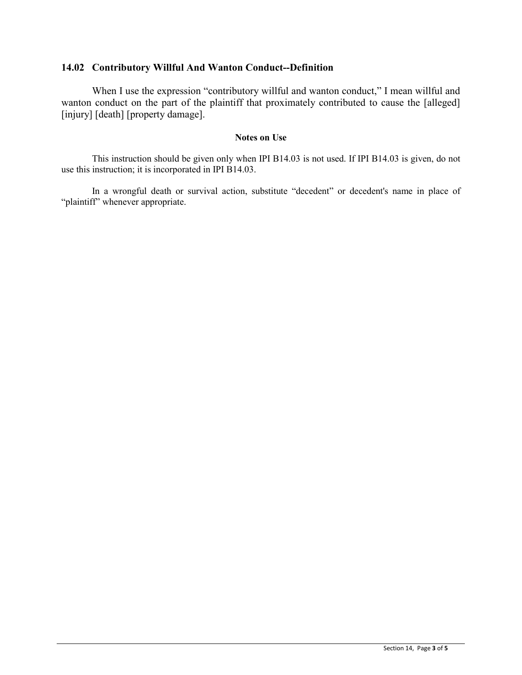# **14.02 Contributory Willful And Wanton Conduct--Definition**

When I use the expression "contributory willful and wanton conduct," I mean willful and wanton conduct on the part of the plaintiff that proximately contributed to cause the [alleged] [injury] [death] [property damage].

## **Notes on Use**

This instruction should be given only when IPI B14.03 is not used. If IPI B14.03 is given, do not use this instruction; it is incorporated in IPI B14.03.

In a wrongful death or survival action, substitute "decedent" or decedent's name in place of "plaintiff" whenever appropriate.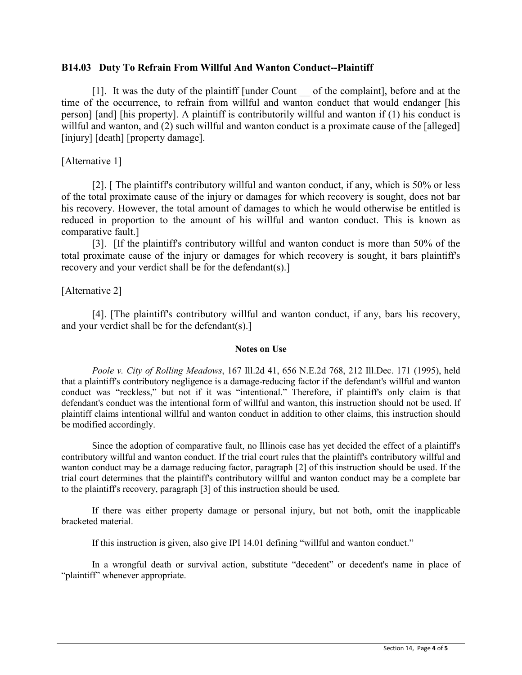## **B14.03 Duty To Refrain From Willful And Wanton Conduct--Plaintiff**

[1]. It was the duty of the plaintiff [under Count \_\_ of the complaint], before and at the time of the occurrence, to refrain from willful and wanton conduct that would endanger [his person] [and] [his property]. A plaintiff is contributorily willful and wanton if (1) his conduct is willful and wanton, and (2) such willful and wanton conduct is a proximate cause of the [alleged] [injury] [death] [property damage].

## [Alternative 1]

[2]. [ The plaintiff's contributory willful and wanton conduct, if any, which is 50% or less of the total proximate cause of the injury or damages for which recovery is sought, does not bar his recovery. However, the total amount of damages to which he would otherwise be entitled is reduced in proportion to the amount of his willful and wanton conduct. This is known as comparative fault.]

[3]. [If the plaintiff's contributory willful and wanton conduct is more than 50% of the total proximate cause of the injury or damages for which recovery is sought, it bars plaintiff's recovery and your verdict shall be for the defendant(s).]

# [Alternative 2]

[4]. [The plaintiff's contributory willful and wanton conduct, if any, bars his recovery, and your verdict shall be for the defendant(s).]

### **Notes on Use**

*Poole v. City of Rolling Meadows*, 167 Ill.2d 41, 656 N.E.2d 768, 212 Ill.Dec. 171 (1995), held that a plaintiff's contributory negligence is a damage-reducing factor if the defendant's willful and wanton conduct was "reckless," but not if it was "intentional." Therefore, if plaintiff's only claim is that defendant's conduct was the intentional form of willful and wanton, this instruction should not be used. If plaintiff claims intentional willful and wanton conduct in addition to other claims, this instruction should be modified accordingly.

Since the adoption of comparative fault, no Illinois case has yet decided the effect of a plaintiff's contributory willful and wanton conduct. If the trial court rules that the plaintiff's contributory willful and wanton conduct may be a damage reducing factor, paragraph [2] of this instruction should be used. If the trial court determines that the plaintiff's contributory willful and wanton conduct may be a complete bar to the plaintiff's recovery, paragraph [3] of this instruction should be used.

If there was either property damage or personal injury, but not both, omit the inapplicable bracketed material.

If this instruction is given, also give IPI 14.01 defining "willful and wanton conduct."

In a wrongful death or survival action, substitute "decedent" or decedent's name in place of "plaintiff" whenever appropriate.